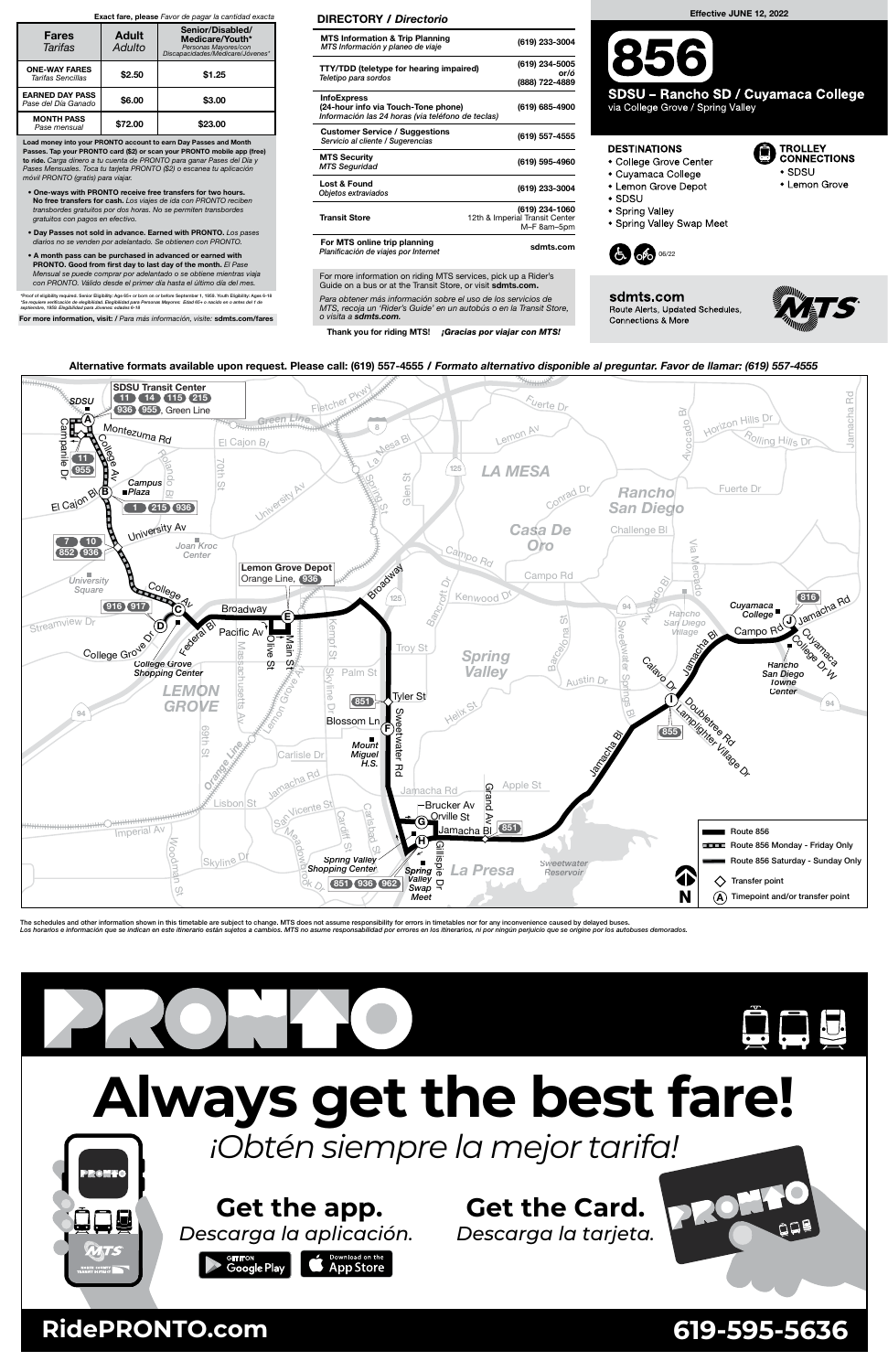For more information on riding MTS services, pick up a Rider's Guide on a bus or at the Transit Store, or visit sdmts.com.



The schedules and other information shown in this timetable are subject to change. MTS does not assume responsibility for errors in timetables nor for any inconvenience caused by delayed buses. Los horarios e información que se indican en este itinerario están sujetos a cambios. MTS no asume responsabilidad por errores en los itinerarios, ni por ningún perjuicio que se origine por los autobuses demorados







### Alternative formats available upon request. Please call: (619) 557-4555 / Formato alternativo disponible al preguntar. Favor de llamar: (619) 557-4555

\*Proof of eligibility required. Senior Eligibility: Age 65+ or born on or before September 1, 1959. Youth Eligibility: Ages 6-18<br>\*Se requiere verificación de elegibilidad. Elegibilidad para Personas Mayores: Edad 65+ o nac septiembre, 1959. Elegibilidad para Jóvenes: edades 6-18

## **Get the Card.**

# **Always get the best fare!**

*Descarga la tarjeta.*



# **Get the app.**

*Descarga la aplicación.*



## **Example ad on the App Store**

*¡Obtén siempre la mejor tarifa!*

309

RONTO

### **RidePRONTO.com 619-595-5636**

Para obtener más información sobre el uso de los servicios de MTS, recoja un 'Rider's Guide' en un autobús o en la Transit Store, o visita a sdmts.com.

Thank you for riding MTS! ¡Gracias por viajar con MTS!

SDSU - Rancho SD / Cuyamaca College via College Grove / Spring Valley

#### DIRECTORY / Directorio

| <b>MTS Information &amp; Trip Planning</b><br>MTS Información y planeo de viaje                                | (619) 233-3004                                                  |
|----------------------------------------------------------------------------------------------------------------|-----------------------------------------------------------------|
| <b>TTY/TDD (teletype for hearing impaired)</b><br>Teletipo para sordos                                         | (619) 234-5005<br>or/ó<br>(888) 722-4889                        |
| <b>InfoExpress</b><br>(24-hour info via Touch-Tone phone)<br>Información las 24 horas (via teléfono de teclas) | (619) 685-4900                                                  |
| <b>Customer Service / Suggestions</b><br>Servicio al cliente / Sugerencias                                     | (619) 557-4555                                                  |
| <b>MTS Security</b><br><b>MTS Seguridad</b>                                                                    | (619) 595-4960                                                  |
| Lost & Found<br>Objetos extraviados                                                                            | (619) 233-3004                                                  |
| <b>Transit Store</b>                                                                                           | (619) 234-1060<br>12th & Imperial Transit Center<br>M-F 8am-5pm |
| For MTS online trip planning<br>Planificación de viajes por Internet                                           | sdmts.com                                                       |

Load money into your PRONTO account to earn Day Passes and Month Passes. Tap your PRONTO card (\$2) or scan your PRONTO mobile app (free) to ride. Carga dinero a tu cuenta de PRONTO para ganar Pases del Día y Pases Mensuales. Toca tu tarjeta PRONTO (\$2) o escanea tu aplicación móvil PRONTO (gratis) para viajar.

- One-ways with PRONTO receive free transfers for two hours. No free transfers for cash. Los viajes de ida con PRONTO reciben transbordes gratuitos por dos horas. No se permiten transbordes gratuitos con pagos en efectivo.
- Day Passes not sold in advance. Earned with PRONTO. Los pases diarios no se venden por adelantado. Se obtienen con PRONTO.
- A month pass can be purchased in advanced or earned with PRONTO. Good from first day to last day of the month. El Pase Mensual se puede comprar por adelantado o se obtiene mientras viaja con PRONTO. Válido desde el primer día hasta el último día del mes.

For more information, visit: / Para más información, visite: sdmts.com/fares

### Exact fare, please Favor de pagar la cantidad exacta

| <b>Fares</b><br>Tarifas                       | <b>Adult</b><br>Adulto | Senior/Disabled/<br>Medicare/Youth*<br>Personas Mayores/con<br>Discapacidades/Medicare/Jóvenes* |
|-----------------------------------------------|------------------------|-------------------------------------------------------------------------------------------------|
| <b>ONE-WAY FARES</b><br>Tarifas Sencillas     | \$2.50                 | \$1.25                                                                                          |
| <b>EARNED DAY PASS</b><br>Pase del Día Ganado | \$6.00                 | \$3.00                                                                                          |
| <b>MONTH PASS</b><br>Pase mensual             | \$72.00                | \$23.00                                                                                         |

Effective JUNE 12, 2022

### **DESTINATIONS**

- College Grove Center
- Cuyamaca College
- Lemon Grove Depot
- $\bullet$  SDSU
- Spring Valley
- Spring Valley Swap Meet



sdmts.com Route Alerts, Updated Schedules, Connections & More



TROLLEY<br>CONNECTIONS

• Lemon Grove

 $\bullet$  SDSU